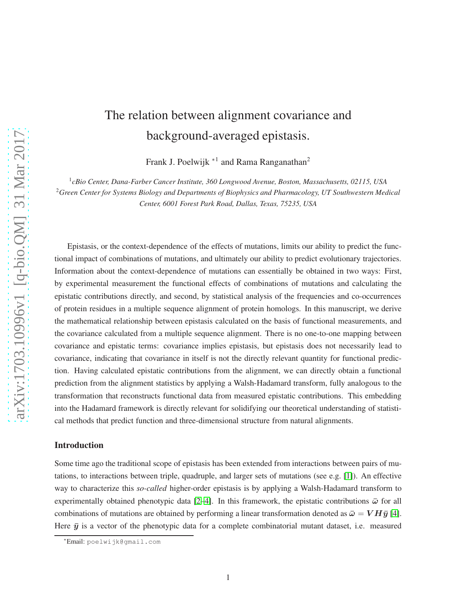# The relation between alignment covariance and background-averaged epistasis.

Frank J. Poelwijk <sup>\*1</sup> and Rama Ranganathan<sup>2</sup>

1 *cBio Center, Dana-Farber Cancer Institute, 360 Longwood Avenue, Boston, Massachusetts, 02115, USA* <sup>2</sup>*Green Center for Systems Biology and Departments of Biophysics and Pharmacology, UT Southwestern Medical Center, 6001 Forest Park Road, Dallas, Texas, 75235, USA*

Epistasis, or the context-dependence of the effects of mutations, limits our ability to predict the functional impact of combinations of mutations, and ultimately our ability to predict evolutionary trajectories. Information about the context-dependence of mutations can essentially be obtained in two ways: First, by experimental measurement the functional effects of combinations of mutations and calculating the epistatic contributions directly, and second, by statistical analysis of the frequencies and co-occurrences of protein residues in a multiple sequence alignment of protein homologs. In this manuscript, we derive the mathematical relationship between epistasis calculated on the basis of functional measurements, and the covariance calculated from a multiple sequence alignment. There is no one-to-one mapping between covariance and epistatic terms: covariance implies epistasis, but epistasis does not necessarily lead to covariance, indicating that covariance in itself is not the directly relevant quantity for functional prediction. Having calculated epistatic contributions from the alignment, we can directly obtain a functional prediction from the alignment statistics by applying a Walsh-Hadamard transform, fully analogous to the transformation that reconstructs functional data from measured epistatic contributions. This embedding into the Hadamard framework is directly relevant for solidifying our theoretical understanding of statistical methods that predict function and three-dimensional structure from natural alignments.

## Introduction

Some time ago the traditional scope of epistasis has been extended from interactions between pairs of mutations, to interactions between triple, quadruple, and larger sets of mutations (see e.g. [\[1\]](#page-5-0)). An effective way to characterize this *so-called* higher-order epistasis is by applying a Walsh-Hadamard transform to experimentally obtained phenotypic data [\[2–](#page-5-1)[4\]](#page-6-0). In this framework, the epistatic contributions  $\bar{\omega}$  for all combinations of mutations are obtained by performing a linear transformation denoted as  $\bar{\omega} = V H \bar{y}$  [\[4\]](#page-6-0). Here  $\bar{y}$  is a vector of the phenotypic data for a complete combinatorial mutant dataset, i.e. measured

<sup>∗</sup>Email: poelwijk@gmail.com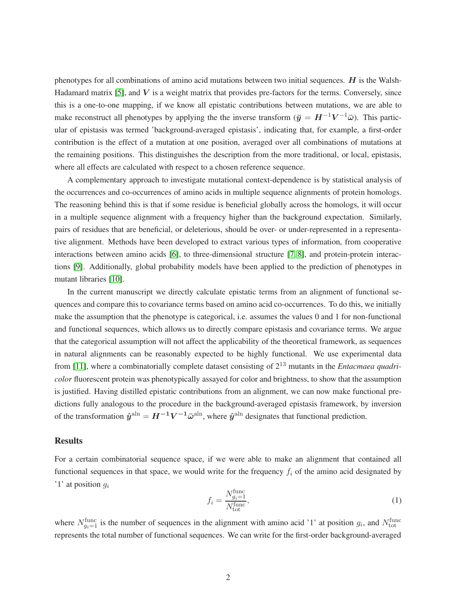phenotypes for all combinations of amino acid mutations between two initial sequences.  $H$  is the Walsh-Hadamard matrix  $[5]$ , and V is a weight matrix that provides pre-factors for the terms. Conversely, since this is a one-to-one mapping, if we know all epistatic contributions between mutations, we are able to make reconstruct all phenotypes by applying the the inverse transform  $(\bar{y} = H^{-1}V^{-1}\bar{\omega})$ . This particular of epistasis was termed 'background-averaged epistasis', indicating that, for example, a first-order contribution is the effect of a mutation at one position, averaged over all combinations of mutations at the remaining positions. This distinguishes the description from the more traditional, or local, epistasis, where all effects are calculated with respect to a chosen reference sequence.

A complementary approach to investigate mutational context-dependence is by statistical analysis of the occurrences and co-occurrences of amino acids in multiple sequence alignments of protein homologs. The reasoning behind this is that if some residue is beneficial globally across the homologs, it will occur in a multiple sequence alignment with a frequency higher than the background expectation. Similarly, pairs of residues that are beneficial, or deleterious, should be over- or under-represented in a representative alignment. Methods have been developed to extract various types of information, from cooperative interactions between amino acids [\[6\]](#page-6-2), to three-dimensional structure [\[7,](#page-6-3) [8\]](#page-6-4), and protein-protein interactions [\[9\]](#page-6-5). Additionally, global probability models have been applied to the prediction of phenotypes in mutant libraries [\[10\]](#page-6-6).

In the current manuscript we directly calculate epistatic terms from an alignment of functional sequences and compare this to covariance terms based on amino acid co-occurrences. To do this, we initially make the assumption that the phenotype is categorical, i.e. assumes the values 0 and 1 for non-functional and functional sequences, which allows us to directly compare epistasis and covariance terms. We argue that the categorical assumption will not affect the applicability of the theoretical framework, as sequences in natural alignments can be reasonably expected to be highly functional. We use experimental data from [\[11\]](#page-6-7), where a combinatorially complete dataset consisting of 2<sup>13</sup> mutants in the *Entacmaea quadricolor* fluorescent protein was phenotypically assayed for color and brightness, to show that the assumption is justified. Having distilled epistatic contributions from an alignment, we can now make functional predictions fully analogous to the procedure in the background-averaged epistasis framework, by inversion of the transformation  $\hat{y}^{\text{aln}} = H^{-1}V^{-1}\bar{\omega}^{\text{aln}}$ , where  $\hat{y}^{\text{aln}}$  designates that functional prediction.

#### **Results**

For a certain combinatorial sequence space, if we were able to make an alignment that contained all functional sequences in that space, we would write for the frequency  $f_i$  of the amino acid designated by '1' at position  $q_i$ 

<span id="page-1-0"></span>
$$
f_i = \frac{N_{gi=1}^{\text{func}}}{N_{\text{tot}}^{\text{func}}},\tag{1}
$$

where  $N_{g_i=1}^{\text{func}}$  is the number of sequences in the alignment with amino acid '1' at position  $g_i$ , and  $N_{\text{tot}}^{\text{func}}$ represents the total number of functional sequences. We can write for the first-order background-averaged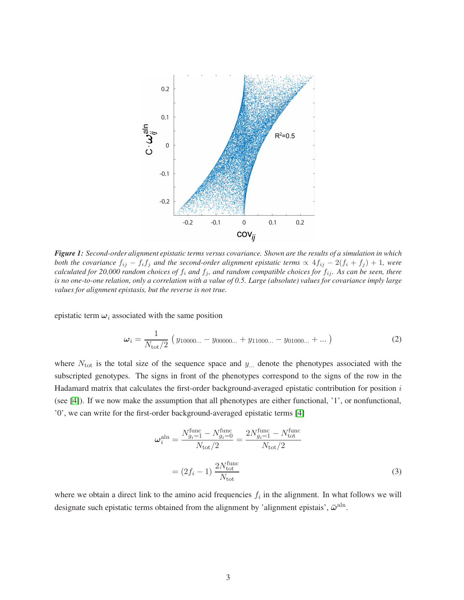<span id="page-2-0"></span>

*Figure 1: Second-order alignment epistatic terms versus covariance. Shown are the results of a simulation in which both the covariance*  $f_{ij} - f_i f_j$  *and the second-order alignment epistatic terms*  $\propto 4f_{ij} - 2(f_i + f_j) + 1$ *, were calculated for 20,000 random choices of*  $f_i$  *and*  $f_j$ *, and random compatible choices for*  $f_{ij}$ *. As can be seen, there is no one-to-one relation, only a correlation with a value of 0.5. Large (absolute) values for covariance imply large values for alignment epistasis, but the reverse is not true.*

epistatic term  $\omega_i$  associated with the same position

$$
\omega_i = \frac{1}{N_{\text{tot}}/2} \left( y_{10000...} - y_{00000...} + y_{11000...} - y_{01000...} + ... \right) \tag{2}
$$

where  $N_{\text{tot}}$  is the total size of the sequence space and  $y_{\dots}$  denote the phenotypes associated with the subscripted genotypes. The signs in front of the phenotypes correspond to the signs of the row in the Hadamard matrix that calculates the first-order background-averaged epistatic contribution for position  $i$ (see [\[4\]](#page-6-0)). If we now make the assumption that all phenotypes are either functional, '1', or nonfunctional, '0', we can write for the first-order background-averaged epistatic terms [\[4\]](#page-6-0)

<span id="page-2-1"></span>
$$
\omega_i^{\text{aln}} = \frac{N_{g_i=1}^{\text{func}} - N_{g_i=0}^{\text{func}}}{N_{\text{tot}}/2} = \frac{2N_{g_i=1}^{\text{func}} - N_{\text{tot}}^{\text{func}}}{N_{\text{tot}}/2}
$$

$$
= (2f_i - 1) \frac{2N_{\text{tot}}^{\text{func}}}{N_{\text{tot}}}
$$
(3)

where we obtain a direct link to the amino acid frequencies  $f_i$  in the alignment. In what follows we will designate such epistatic terms obtained from the alignment by 'alignment epistais',  $\bar{\omega}^{\text{aln}}$ .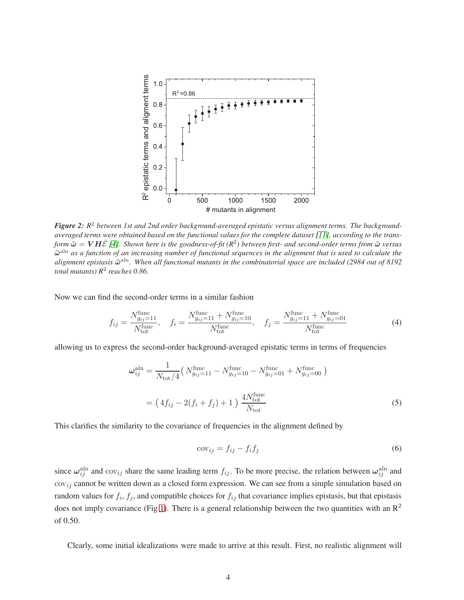<span id="page-3-0"></span>

*Figure 2: R* <sup>2</sup> *between 1st and 2nd order background-averaged epistatic versus alignment terms. The backgroundaveraged terms were obtained based on the functional values for the complete dataset [\[11\]](#page-6-7), according to the trans* $f$ orm  $\bar{\omega} = V H \bar{\mathcal{E}}$  [\[4\]](#page-6-0). Shown here is the goodness-of-fit (R<sup>2</sup>) between first- and second-order terms from  $\bar{\omega}$  versus  $\bar{\omega}^{\text{aln}}$  as a function of an increasing number of functional sequences in the alignment that is used to calculate the alignment epistasis  $\bar{\omega}^{\text{aln}}$ . When all functional mutants in the combinatorial space are included (2984 out of 8192 *total mutants) R*<sup>2</sup> *reaches 0.86.*

Now we can find the second-order terms in a similar fashion

$$
f_{ij} = \frac{N_{g_{ij}=11}^{\text{func}}}{N_{\text{tot}}^{\text{func}}}, \quad f_i = \frac{N_{g_{ij}=11}^{\text{func}} + N_{g_{ij}=10}^{\text{func}}}{N_{\text{tot}}^{\text{func}}}, \quad f_j = \frac{N_{g_{ij}=11}^{\text{func}} + N_{g_{ij}=01}^{\text{func}}}{N_{\text{tot}}^{\text{func}}}
$$
(4)

allowing us to express the second-order background-averaged epistatic terms in terms of frequencies

$$
\omega_{ij}^{\text{aln}} = \frac{1}{N_{\text{tot}}/4} \left( N_{g_{ij}=11}^{\text{func}} - N_{g_{ij}=10}^{\text{func}} - N_{g_{ij}=01}^{\text{func}} + N_{g_{ij}=00}^{\text{func}} \right)
$$

$$
= \left( 4f_{ij} - 2(f_i + f_j) + 1 \right) \frac{4N_{\text{tot}}^{\text{func}}}{N_{\text{tot}}}
$$
(5)

This clarifies the similarity to the covariance of frequencies in the alignment defined by

$$
cov_{ij} = f_{ij} - f_i f_j \tag{6}
$$

since  $\omega_{ij}^{\text{aln}}$  and  $cov_{ij}$  share the same leading term  $f_{ij}$ . To be more precise, the relation between  $\omega_{ij}^{\text{aln}}$  and  $cov_{ij}$  cannot be written down as a closed form expression. We can see from a simple simulation based on random values for  $f_i$ ,  $f_j$ , and compatible choices for  $f_{ij}$  that covariance implies epistasis, but that epistasis does not imply covariance (Fig [1\)](#page-2-0). There is a general relationship between the two quantities with an  $\mathbb{R}^2$ of 0.50.

Clearly, some initial idealizations were made to arrive at this result. First, no realistic alignment will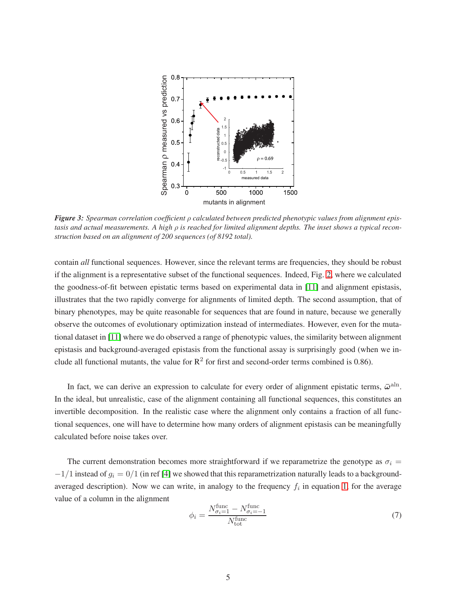<span id="page-4-0"></span>

*Figure 3: Spearman correlation coefficient* ρ *calculated between predicted phenotypic values from alignment epistasis and actual measurements. A high* ρ *is reached for limited alignment depths. The inset shows a typical reconstruction based on an alignment of 200 sequences (of 8192 total).*

contain *all* functional sequences. However, since the relevant terms are frequencies, they should be robust if the alignment is a representative subset of the functional sequences. Indeed, Fig. [2,](#page-3-0) where we calculated the goodness-of-fit between epistatic terms based on experimental data in [\[11\]](#page-6-7) and alignment epistasis, illustrates that the two rapidly converge for alignments of limited depth. The second assumption, that of binary phenotypes, may be quite reasonable for sequences that are found in nature, because we generally observe the outcomes of evolutionary optimization instead of intermediates. However, even for the mutational dataset in [\[11\]](#page-6-7) where we do observed a range of phenotypic values, the similarity between alignment epistasis and background-averaged epistasis from the functional assay is surprisingly good (when we include all functional mutants, the value for  $R^2$  for first and second-order terms combined is 0.86).

In fact, we can derive an expression to calculate for every order of alignment epistatic terms,  $\bar{\omega}^{\text{aln}}$ . In the ideal, but unrealistic, case of the alignment containing all functional sequences, this constitutes an invertible decomposition. In the realistic case where the alignment only contains a fraction of all functional sequences, one will have to determine how many orders of alignment epistasis can be meaningfully calculated before noise takes over.

The current demonstration becomes more straightforward if we reparametrize the genotype as  $\sigma_i$  =  $-1/1$  instead of  $g_i = 0/1$  (in ref [\[4\]](#page-6-0) we showed that this reparametrization naturally leads to a backgroundaveraged description). Now we can write, in analogy to the frequency  $f_i$  in equation [1,](#page-1-0) for the average value of a column in the alignment

$$
\phi_i = \frac{N_{\sigma_i=1}^{\text{func}} - N_{\sigma_i=-1}^{\text{func}}}{N_{\text{tot}}^{\text{func}}}
$$
\n(7)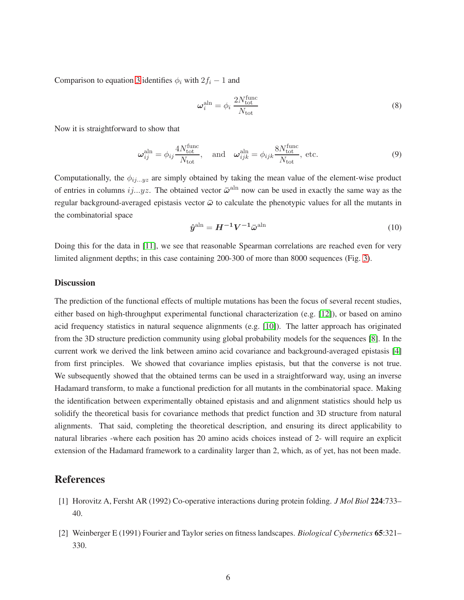Comparison to equation [3](#page-2-1) identifies  $\phi_i$  with  $2f_i - 1$  and

$$
\omega_i^{\text{aln}} = \phi_i \, \frac{2N_{\text{tot}}^{\text{func}}}{N_{\text{tot}}} \tag{8}
$$

Now it is straightforward to show that

$$
\boldsymbol{\omega}_{ij}^{\text{aln}} = \phi_{ij} \frac{4N_{\text{tot}}^{\text{func}}}{N_{\text{tot}}}, \quad \text{and} \quad \boldsymbol{\omega}_{ijk}^{\text{aln}} = \phi_{ijk} \frac{8N_{\text{tot}}^{\text{func}}}{N_{\text{tot}}}, \text{ etc.}
$$
 (9)

Computationally, the  $\phi_{ij...yz}$  are simply obtained by taking the mean value of the element-wise product of entries in columns  $ij...yz$ . The obtained vector  $\bar{\omega}^{\text{aln}}$  now can be used in exactly the same way as the regular background-averaged epistasis vector  $\bar{\omega}$  to calculate the phenotypic values for all the mutants in the combinatorial space

$$
\hat{\boldsymbol{y}}^{\text{aln}} = \boldsymbol{H}^{-1} \boldsymbol{V}^{-1} \bar{\boldsymbol{\omega}}^{\text{aln}} \tag{10}
$$

Doing this for the data in [\[11\]](#page-6-7), we see that reasonable Spearman correlations are reached even for very limited alignment depths; in this case containing 200-300 of more than 8000 sequences (Fig. [3\)](#page-4-0).

### **Discussion**

The prediction of the functional effects of multiple mutations has been the focus of several recent studies, either based on high-throughput experimental functional characterization (e.g. [\[12\]](#page-6-8)), or based on amino acid frequency statistics in natural sequence alignments (e.g. [\[10\]](#page-6-6)). The latter approach has originated from the 3D structure prediction community using global probability models for the sequences [\[8\]](#page-6-4). In the current work we derived the link between amino acid covariance and background-averaged epistasis [\[4\]](#page-6-0) from first principles. We showed that covariance implies epistasis, but that the converse is not true. We subsequently showed that the obtained terms can be used in a straightforward way, using an inverse Hadamard transform, to make a functional prediction for all mutants in the combinatorial space. Making the identification between experimentally obtained epistasis and and alignment statistics should help us solidify the theoretical basis for covariance methods that predict function and 3D structure from natural alignments. That said, completing the theoretical description, and ensuring its direct applicability to natural libraries -where each position has 20 amino acids choices instead of 2- will require an explicit extension of the Hadamard framework to a cardinality larger than 2, which, as of yet, has not been made.

# <span id="page-5-0"></span>References

- <span id="page-5-1"></span>[1] Horovitz A, Fersht AR (1992) Co-operative interactions during protein folding. *J Mol Biol* 224:733– 40.
- [2] Weinberger E (1991) Fourier and Taylor series on fitness landscapes. *Biological Cybernetics* 65:321– 330.